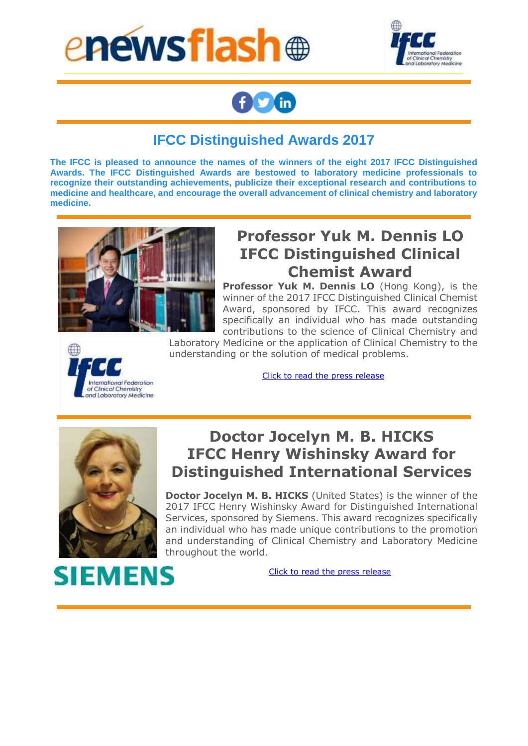



# **AD** in

#### **IFCC Distinguished Awards 2017**

**The IFCC is pleased to announce the names of the winners of the eight 2017 IFCC Distinguished Awards. The IFCC Distinguished Awards are bestowed to laboratory medicine professionals to recognize their outstanding achievements, publicize their exceptional research and contributions to medicine and healthcare, and encourage the overall advancement of clinical chemistry and laboratory medicine.**



# **Professor Yuk M. Dennis LO IFCC Distinguished Clinical Chemist Award**

**Professor Yuk M. Dennis LO** (Hong Kong), is the winner of the 2017 IFCC Distinguished Clinical Chemist Award, sponsored by IFCC. This award recognizes specifically an individual who has made outstanding contributions to the science of Clinical Chemistry and

International Federation of Clinical Chemistry<br>and Laboratory Medicine Laboratory Medicine or the application of Clinical Chemistry to the understanding or the solution of medical problems.

Click [to read the press release](http://ifcc.musvc1.net/e/t?q=4%3dHbTaK%26F%3dM%26E%3dGV%26A%3dRD%26O%3d4K5J_Drdt_O2_3uoq_C0_Drdt_N78QI.0q7y.F3A_Drdt_N7x9z0l_Lmta_V2UFaOUE_Lmta_V2SKUSSIdP_jQgY_etMF2l5w0yAG04B15_LQwIoM_hF.182%265%3dxOEMnU.065%26CE%3dTGX)



**SIEMENS** 

# **Doctor Jocelyn M. B. HICKS IFCC Henry Wishinsky Award for Distinguished International Services**

**Doctor Jocelyn M. B. HICKS** (United States) is the winner of the 2017 IFCC Henry Wishinsky Award for Distinguished International Services, sponsored by Siemens. This award recognizes specifically an individual who has made unique contributions to the promotion and understanding of Clinical Chemistry and Laboratory Medicine throughout the world.

[Click to read the press release](http://ifcc.musvc1.net/e/t?q=5%3dSa0bV%26E%3d3%26F%3dRU%26q%3dSO%26N%3djLFI_tsos_53_DtUr_N9_tsos_48IPy.A26e.GD0_tsos_4898fAw_KSul_UhVQZ5UT_KSul_UhTVT9TTc6_kbfE_f5Lv3w4cA00wAEAg6_WPcJzL_JAyDu.Hz9%26f%3dEGLx5M.GgL%265L%3d5XP)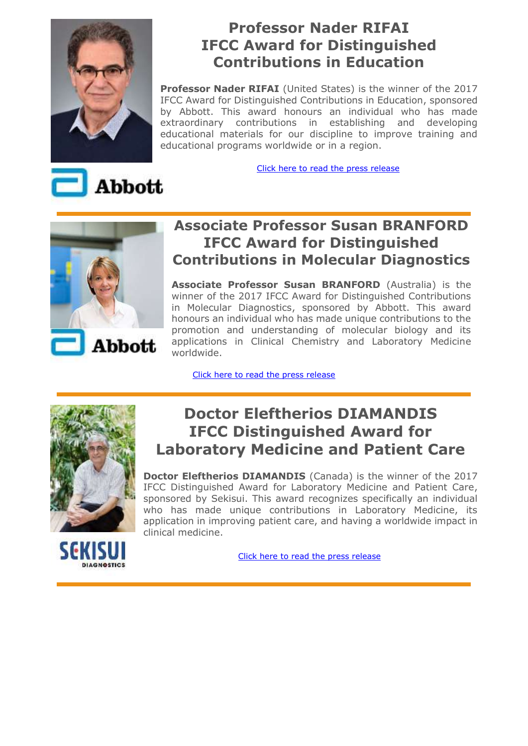

### **Professor Nader RIFAI IFCC Award for Distinguished Contributions in Education**

**Professor Nader RIFAI** (United States) is the winner of the 2017 IFCC Award for Distinguished Contributions in Education, sponsored by Abbott. This award honours an individual who has made extraordinary contributions in establishing and developing educational materials for our discipline to improve training and educational programs worldwide or in a region.

[Click here to read the press release](http://ifcc.musvc1.net/e/t?q=5%3dNcPbQ%26G%3dI%26F%3dMW%267%3dSJ%26P%3dzLAK_0sju_K3_9vkr_IA_0sju_J8DRE.Aw8u.G9B_0sju_J840vAr_Miug_WxVLbKWQ_Miug_WxTQVOTOeL_kWhU_fzNB3r6sA5BCA0Cw6_RRsJuN_jAw61.HuA%26v%3dEBND5H.IwL%26zN%3dKXK)



Abbott

#### **Associate Professor Susan BRANFORD IFCC Award for Distinguished Contributions in Molecular Diagnostics**

**Associate Professor Susan BRANFORD** (Australia) is the winner of the 2017 IFCC Award for Distinguished Contributions in Molecular Diagnostics, sponsored by Abbott. This award honours an individual who has made unique contributions to the promotion and understanding of molecular biology and its applications in Clinical Chemistry and Laboratory Medicine worldwide.

[Click here to read the press release](http://ifcc.musvc1.net/e/t?q=6%3dJcJcM%26G%3dC%26G%3dIW%261%3dTF%26P%3dtM7K_4tfu_E4_5ves_EA_4tfu_D90R9.Bs8o.H5B_4tfu_D9z0pBn_Mcvc_WrWHbEVE_Mcvc_WrUMVIUKeF_lShO_gvN64n6mB1B7B6Cq7_NRmKqN_NKnIrH59.27s%269%3dyN6QoT.106%26B6%3dXHW)



### **Doctor Eleftherios DIAMANDIS IFCC Distinguished Award for Laboratory Medicine and Patient Care**

**Doctor Eleftherios DIAMANDIS** (Canada) is the winner of the 2017 IFCC Distinguished Award for Laboratory Medicine and Patient Care, sponsored by Sekisui. This award recognizes specifically an individual who has made unique contributions in Laboratory Medicine, its application in improving patient care, and having a worldwide impact in clinical medicine.

[Click here to read the press release](http://ifcc.musvc1.net/e/t?q=4%3dHZJaK%26D%3dC%26E%3dGT%261%3dRD%26M%3dtK5H_4rdr_E2_3seq_C8_4rdr_D78O9.0q5o.F39_4rdr_D7x7p0l_Jcta_TrUFYETF_Jcta_TrSKSISIbF_jQeO_etK62l3m0y97040q5_LOmIoK_P0lEmEoA5.Go8%26p%3dD6K84B.FqK%26tK%3dEWE)